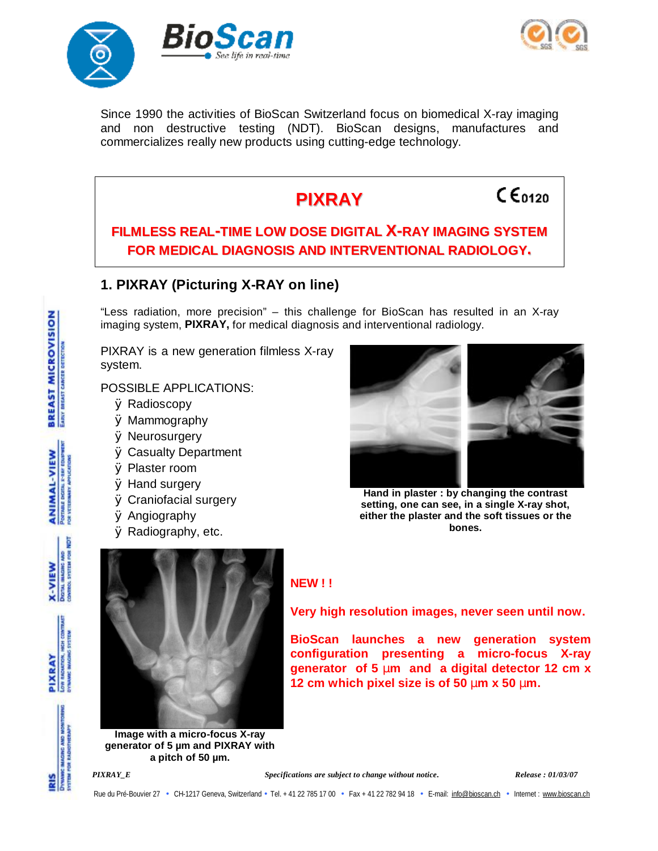



Since 1990 the activities of BioScan Switzerland focus on biomedical X-ray imaging and non destructive testing (NDT). BioScan designs, manufactures and commercializes really new products using cutting-edge technology.



**Image with a micro-focus X-ray generator of 5 µm and PIXRAY with a pitch of 50 µm.**

Rue du Pré-Bouvier 27 • CH-1217 Geneva, Switzerland • Tel. + 41 22 785 17 00 • Fax + 41 22 782 94 18 • E-mail: [info@bioscan.ch](mailto:info@bioscan.ch) • Internet : [www.bioscan.ch](http://www.bioscan.ch)



PIXRAY



**BioScan launches a new generation system configuration presenting a micro-focus X-ray generator of 5 mm and a digital detector 12 cm x** 

*PIXRAY\_E Specifications are subject to change without notice. Release : 01/03/07* 

EARLY DIREAST CANCER DETECTION

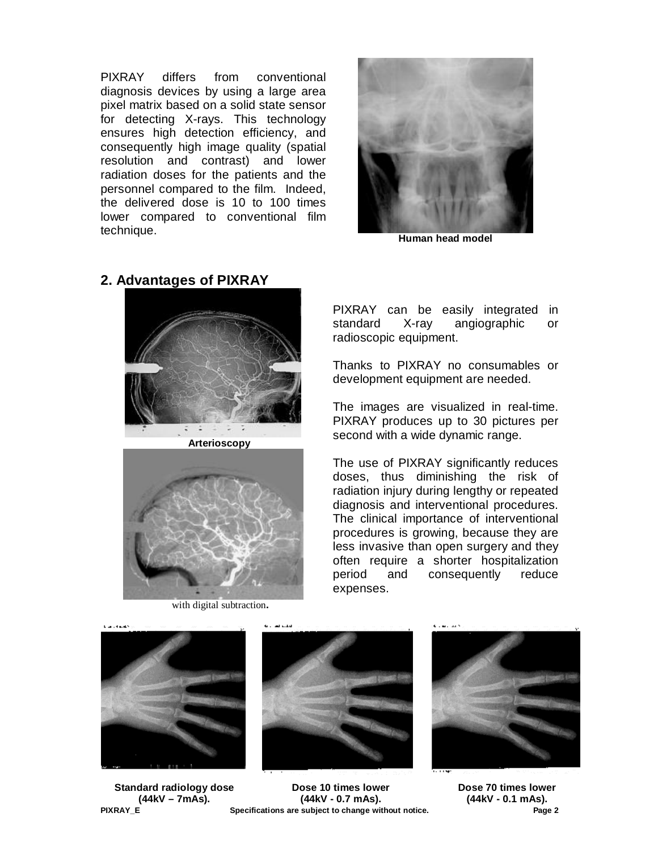PIXRAY differs from conventional diagnosis devices by using a large area pixel matrix based on a solid state sensor for detecting X-rays. This technology ensures high detection efficiency, and consequently high image quality (spatial resolution and contrast) and lower radiation doses for the patients and the personnel compared to the film. Indeed, the delivered dose is 10 to 100 times lower compared to conventional film technique. **Human head model**<br>
Human head model



**Arterioscopy**



with digital subtraction**.** 

PIXRAY can be easily integrated in standard X-ray angiographic or radioscopic equipment.

Thanks to PIXRAY no consumables or development equipment are needed.

The images are visualized in real-time. PIXRAY produces up to 30 pictures per second with a wide dynamic range.

The use of PIXRAY significantly reduces doses, thus diminishing the risk of radiation injury during lengthy or repeated diagnosis and interventional procedures. The clinical importance of interventional procedures is growing, because they are less invasive than open surgery and they often require a shorter hospitalization period and consequently reduce expenses.







**PIXRAY\_E Specifications are subject to change without notice. Page 2 Dose 10 times lower (44kV - 0.7 mAs).**



**Dose 70 times lower (44kV - 0.1 mAs).**

## **2. Advantages of PIXRAY**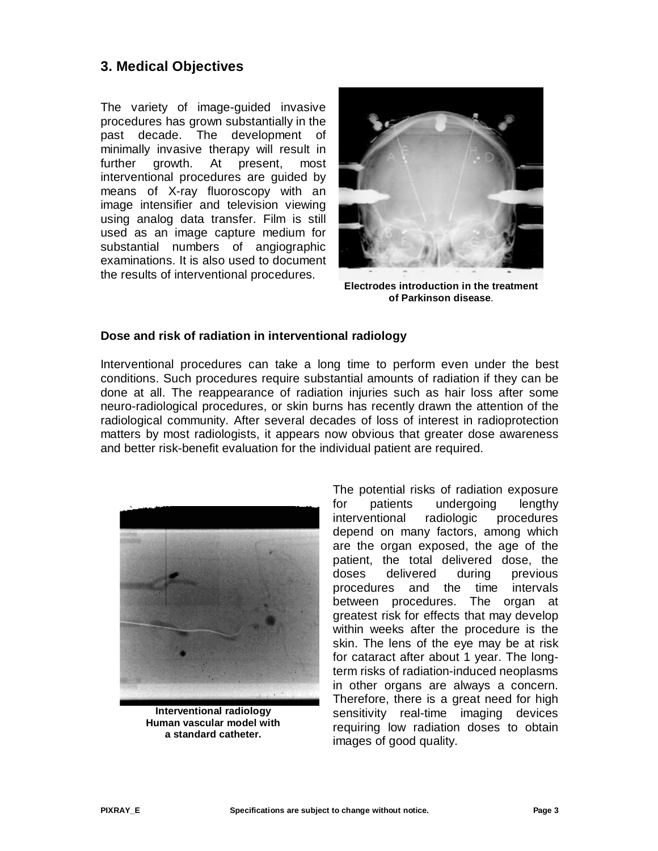## **3. Medical Objectives**

The variety of image-guided invasive procedures has grown substantially in the past decade. The development of minimally invasive therapy will result in further growth. At present, most interventional procedures are guided by means of X-ray fluoroscopy with an image intensifier and television viewing using analog data transfer. Film is still used as an image capture medium for substantial numbers of angiographic examinations. It is also used to document the results of interventional procedures.



**Electrodes introduction in the treatment of Parkinson disease**.

## **Dose and risk of radiation in interventional radiology**

Interventional procedures can take a long time to perform even under the best conditions. Such procedures require substantial amounts of radiation if they can be done at all. The reappearance of radiation injuries such as hair loss after some neuro-radiological procedures, or skin burns has recently drawn the attention of the radiological community. After several decades of loss of interest in radioprotection matters by most radiologists, it appears now obvious that greater dose awareness and better risk-benefit evaluation for the individual patient are required.



**Interventional radiology Human vascular model with a standard catheter.** 

The potential risks of radiation exposure for patients undergoing lengthy interventional radiologic procedures depend on many factors, among which are the organ exposed, the age of the patient, the total delivered dose, the doses delivered during previous procedures and the time intervals between procedures. The organ at greatest risk for effects that may develop within weeks after the procedure is the skin. The lens of the eye may be at risk for cataract after about 1 year. The longterm risks of radiation-induced neoplasms in other organs are always a concern. Therefore, there is a great need for high sensitivity real-time imaging devices requiring low radiation doses to obtain images of good quality.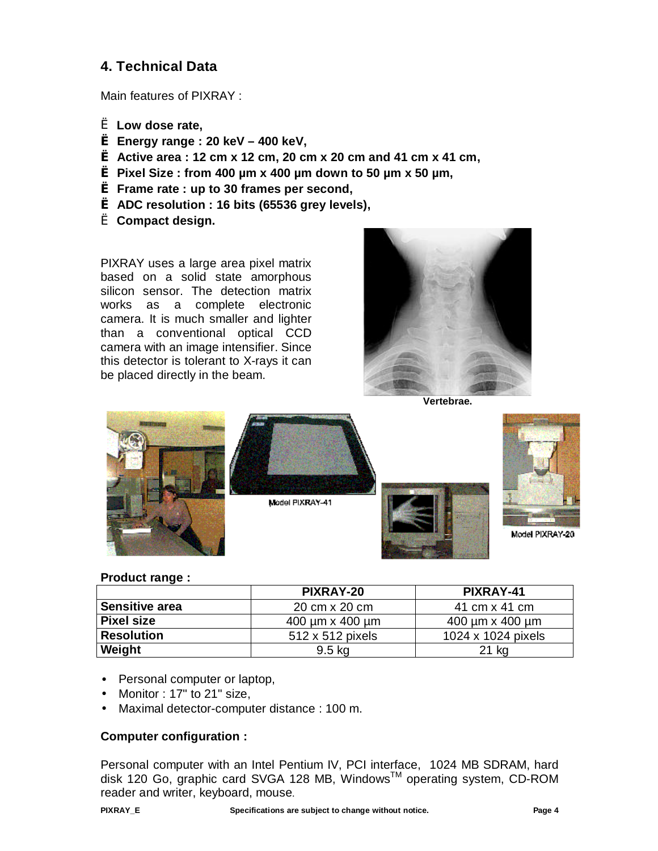# **4. Technical Data**

Main features of PIXRAY :

- è **Low dose rate,**
- **è Energy range : 20 keV – 400 keV,**
- **è Active area : 12 cm x 12 cm, 20 cm x 20 cm and 41 cm x 41 cm,**
- **è Pixel Size : from 400 µm x 400 µm down to 50 µm x 50 µm,**
- **è Frame rate : up to 30 frames per second,**
- **è ADC resolution : 16 bits (65536 grey levels),**
- è **Compact design.**

PIXRAY uses a large area pixel matrix based on a solid state amorphous silicon sensor. The detection matrix works as a complete electronic camera. It is much smaller and lighter than a conventional optical CCD camera with an image intensifier. Since this detector is tolerant to X-rays it can be placed directly in the beam.



**Vertebrae.** 



### **Product range :**

|                       | <b>PIXRAY-20</b>             | PIXRAY-41                    |
|-----------------------|------------------------------|------------------------------|
| <b>Sensitive area</b> | 20 cm x 20 cm                | 41 cm x 41 cm                |
| <b>Pixel size</b>     | $400 \mu m \times 400 \mu m$ | $400 \mu m \times 400 \mu m$ |
| <b>Resolution</b>     | 512 x 512 pixels             | 1024 x 1024 pixels           |
| Weight                | $9.5 \text{ kg}$             | 21 kg                        |

- Personal computer or laptop,
- Monitor : 17" to 21" size,
- Maximal detector-computer distance : 100 m.

## **Computer configuration :**

Personal computer with an Intel Pentium IV, PCI interface, 1024 MB SDRAM, hard disk 120 Go, graphic card SVGA 128 MB, WindowsTM operating system, CD-ROM reader and writer, keyboard, mouse.